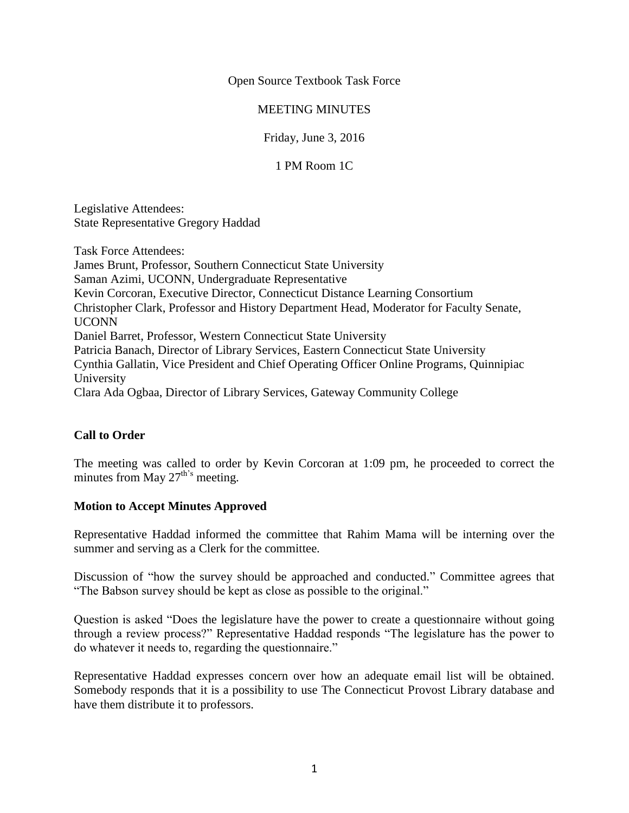Open Source Textbook Task Force

## MEETING MINUTES

Friday, June 3, 2016

1 PM Room 1C

Legislative Attendees: State Representative Gregory Haddad

Task Force Attendees:

James Brunt, Professor, Southern Connecticut State University Saman Azimi, UCONN, Undergraduate Representative Kevin Corcoran, Executive Director, Connecticut Distance Learning Consortium Christopher Clark, Professor and History Department Head, Moderator for Faculty Senate, UCONN Daniel Barret, Professor, Western Connecticut State University Patricia Banach, Director of Library Services, Eastern Connecticut State University Cynthia Gallatin, Vice President and Chief Operating Officer Online Programs, Quinnipiac University Clara Ada Ogbaa, Director of Library Services, Gateway Community College

## **Call to Order**

The meeting was called to order by Kevin Corcoran at 1:09 pm, he proceeded to correct the minutes from May  $27^{\text{th's}}$  meeting.

## **Motion to Accept Minutes Approved**

Representative Haddad informed the committee that Rahim Mama will be interning over the summer and serving as a Clerk for the committee.

Discussion of "how the survey should be approached and conducted." Committee agrees that "The Babson survey should be kept as close as possible to the original."

Question is asked "Does the legislature have the power to create a questionnaire without going through a review process?" Representative Haddad responds "The legislature has the power to do whatever it needs to, regarding the questionnaire."

Representative Haddad expresses concern over how an adequate email list will be obtained. Somebody responds that it is a possibility to use The Connecticut Provost Library database and have them distribute it to professors.